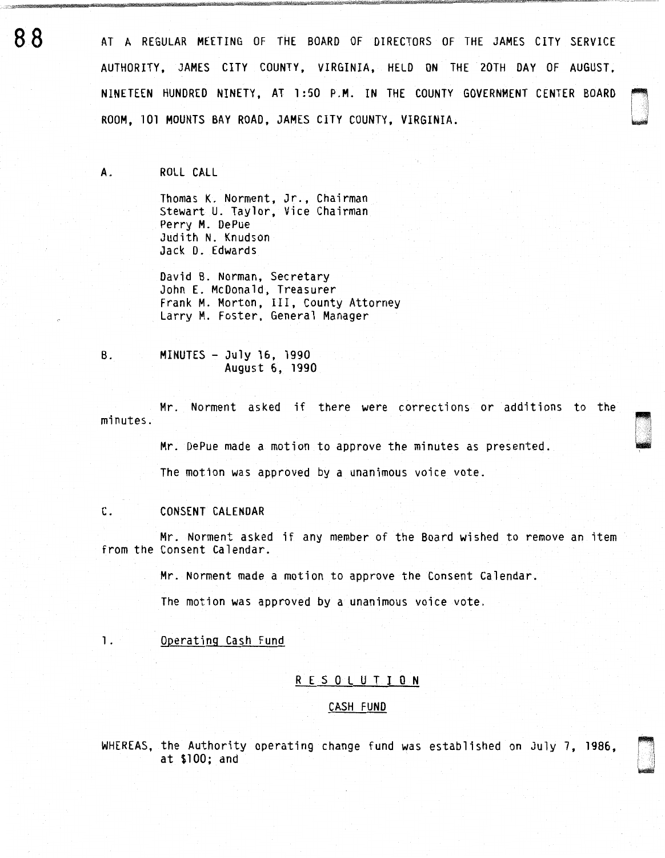AT A REGULAR MEETING OF THE BOARD OF DIRECTORS OF THE JAMES CITY SERVICE AUTHORITY, JAMES CITY COUNTY, VIRGINIA, HELD ON THE 20TH DAY OF AUGUST, NINETEEN HUNDRED NINETY, AT 1:50 P.M. IN THE COUNTY GOVERNMENT CENTER BOARD ROOM, 101 MOUNTS BAY ROAD, JAMES CITY COUNTY, VIRGINIA.

~ 1 I , u<br>u bilinda

DI .·.·.·.·.· .. ..

~ . **1** i 11 **.**<br>100520

A. ROLL CALL

Thomas K. Norment, Jr., Chairman Stewart U. Taylor, Vice Chairman Perry M. OePue Judith N. Knudson Jack D. Edwards

David B. Norman, Secretary John E. McDonald, Treasurer Frank M. Morton, III, County Attorney Larry M. Foster, General Manager

B. MINUTES - July 16, 1990 August 6, 1990

Mr. Norment asked if there were corrections or additions to the minutes.

Mr. DePue made a motion to approve the minutes as presented.

The motion was approved by a unanimous voice vote.

## C. CONSENT CALENDAR

Mr. Norment asked if any member of the Board wished to remove an item from the Consent Calendar.

Mr. Norment made a motion to approve the Consent Calendar.

The motion was approved by a unanimous voice vote.

1. Operating Cash Fund

# R E S 0 L U T I 0 N

#### CASH FUND

WHEREAS, the Authority operating change fund was established on July 7, 1986, at \$100; and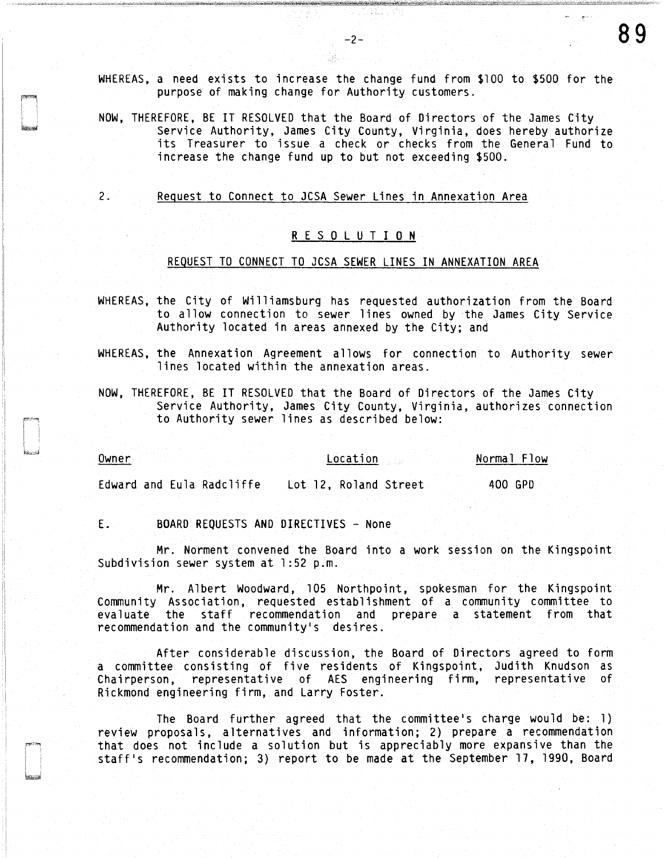WHEREAS, a need exists to increase the change fund from \$100 to \$500 for the purpose of making change for Authority customers.

NOW, THEREFORE, BE IT RESOLVED that the Board of Directors of the James City Service Authority, James City County, Virginia, does hereby authorize its Treasurer to issue a check or checks from the General Fund to increase the change fund up to but not exceeding \$500.

2. Request to Connect to JCSA Sewer Lines in Annexation Area

# R E S 0 L U T I 0 N

## REQUEST TO CONNECT TO JCSA SEWER LINES IN ANNEXATION AREA

WHEREAS, the City of Williamsburg has requested authorization from the Board to allow connection to sewer lines owned by the James City Service Authority located in areas annexed by the City; and

WHEREAS, the Annexation Agreement allows for connection to Authority sewer lines located within the annexation areas.

NOW, THEREFORE, BE IT RESOLVED that the Board of Directors of the James City Service Authority, James City County, Virginia, authorizes connection to Authority sewer lines as described below:

Owner Location Normal Flow -- Edward and Eula Radcliffe Lot 12, Roland Street 400 GPD

E. BOARD REQUESTS ANO DIRECTIVES - None

Mr. Norment convened the Board into a work session on the Kingspoint Subdivision sewer system at 1:52 p.m.

Mr. Albert Woodward, 105 Northpoint, spokesman for the Kingspoint Community Association, requested establishment of a community committee to evaluate the staff recommendation and prepare a statement from that recommendation and the community's desires.

After considerable discussion, the Board of Directors agreed to form a committee consisting of five residents of Kingspoint, Judith Knudson as Chairperson, representative of AES engineering firm, representative of Rickmond engineering firm, and Larry Foster.

The Board further agreed that the committee's charge would be: l) review proposals, alternatives and information; 2) prepare a recommendation that does not include a solution but is appreciably more expansive than the staff's recommendation; 3) report to be made at the September 17, 1990, Board

스그속 박 등장

89